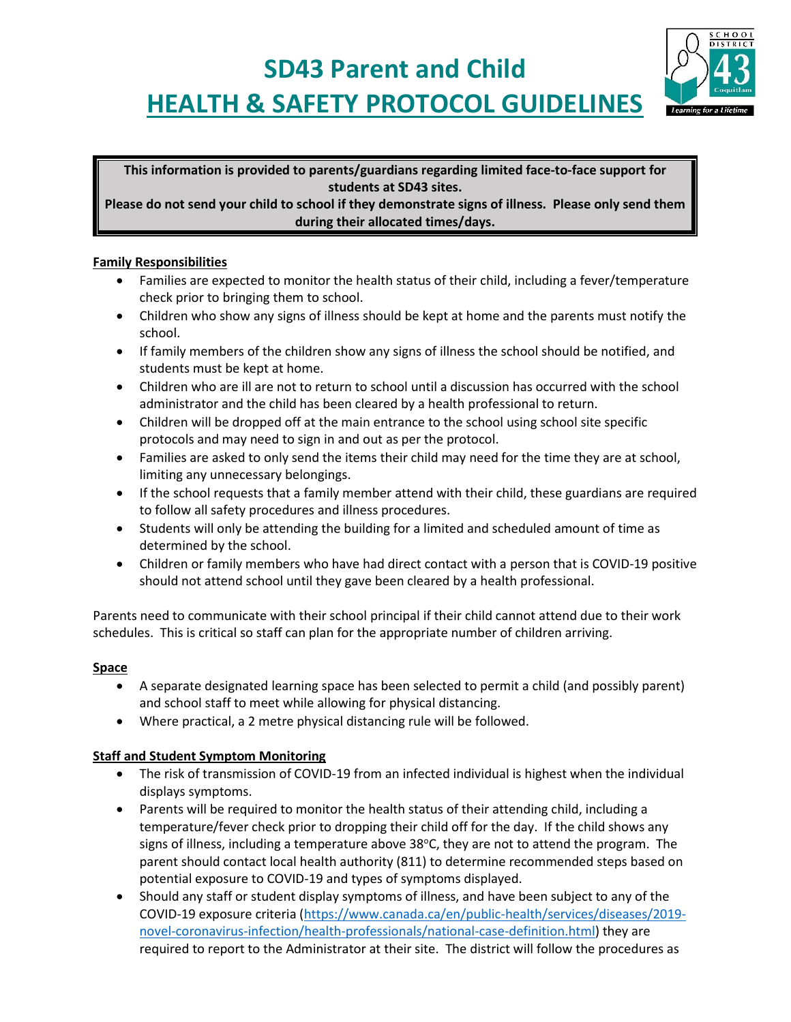# **SD43 Parent and Child HEALTH & SAFETY PROTOCOL GUIDELINES**



**This information is provided to parents/guardians regarding limited face-to-face support for students at SD43 sites.**

**Please do not send your child to school if they demonstrate signs of illness. Please only send them during their allocated times/days.**

#### **Family Responsibilities**

- Families are expected to monitor the health status of their child, including a fever/temperature check prior to bringing them to school.
- Children who show any signs of illness should be kept at home and the parents must notify the school.
- If family members of the children show any signs of illness the school should be notified, and students must be kept at home.
- Children who are ill are not to return to school until a discussion has occurred with the school administrator and the child has been cleared by a health professional to return.
- Children will be dropped off at the main entrance to the school using school site specific protocols and may need to sign in and out as per the protocol.
- Families are asked to only send the items their child may need for the time they are at school, limiting any unnecessary belongings.
- If the school requests that a family member attend with their child, these guardians are required to follow all safety procedures and illness procedures.
- Students will only be attending the building for a limited and scheduled amount of time as determined by the school.
- Children or family members who have had direct contact with a person that is COVID-19 positive should not attend school until they gave been cleared by a health professional.

Parents need to communicate with their school principal if their child cannot attend due to their work schedules. This is critical so staff can plan for the appropriate number of children arriving.

## **Space**

- A separate designated learning space has been selected to permit a child (and possibly parent) and school staff to meet while allowing for physical distancing.
- Where practical, a 2 metre physical distancing rule will be followed.

## **Staff and Student Symptom Monitoring**

- The risk of transmission of COVID-19 from an infected individual is highest when the individual displays symptoms.
- Parents will be required to monitor the health status of their attending child, including a temperature/fever check prior to dropping their child off for the day. If the child shows any signs of illness, including a temperature above  $38^{\circ}$ C, they are not to attend the program. The parent should contact local health authority (811) to determine recommended steps based on potential exposure to COVID-19 and types of symptoms displayed.
- Should any staff or student display symptoms of illness, and have been subject to any of the COVID-19 exposure criteria [\(https://www.canada.ca/en/public-health/services/diseases/2019](https://www.canada.ca/en/public-health/services/diseases/2019-novel-coronavirus-infection/health-professionals/national-case-definition.html) [novel-coronavirus-infection/health-professionals/national-case-definition.html\)](https://www.canada.ca/en/public-health/services/diseases/2019-novel-coronavirus-infection/health-professionals/national-case-definition.html) they are required to report to the Administrator at their site. The district will follow the procedures as